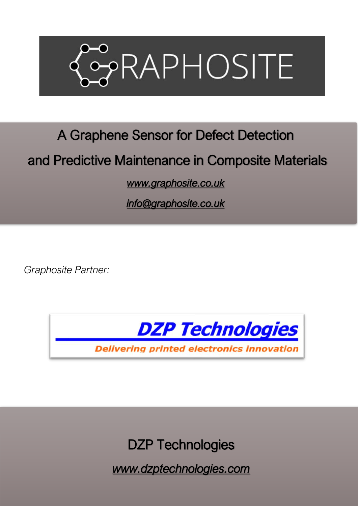

## A Graphene Sensor for Defect Detection

### and Predictive Maintenance in Composite Materials

*[www.graphosite.co.uk](http://www.graphosite.co.uk/)* 

*[info@graphosite.co.uk](mailto:info@graphosite.co.uk)* 

*Graphosite Partner:*



DZP Technologies

í

*www.dzptechnologies.com*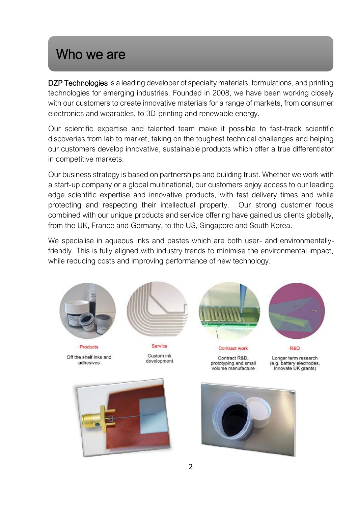### Who we are

DZP Technologies is a leading developer of specialty materials, formulations, and printing technologies for emerging industries. Founded in 2008, we have been working closely with our customers to create innovative materials for a range of markets, from consumer electronics and wearables, to 3D-printing and renewable energy.

Our scientific expertise and talented team make it possible to fast-track scientific discoveries from lab to market, taking on the toughest technical challenges and helping our customers develop innovative, sustainable products which offer a true differentiator in competitive markets.

Our business strategy is based on partnerships and building trust. Whether we work with a start-up company or a global multinational, our customers enjoy access to our leading edge scientific expertise and innovative products, with fast delivery times and while protecting and respecting their intellectual property. Our strong customer focus combined with our unique products and service offering have gained us clients globally, from the UK, France and Germany, to the US, Singapore and South Korea.

We specialise in aqueous inks and pastes which are both user- and environmentallyfriendly. This is fully aligned with industry trends to minimise the environmental impact, while reducing costs and improving performance of new technology.

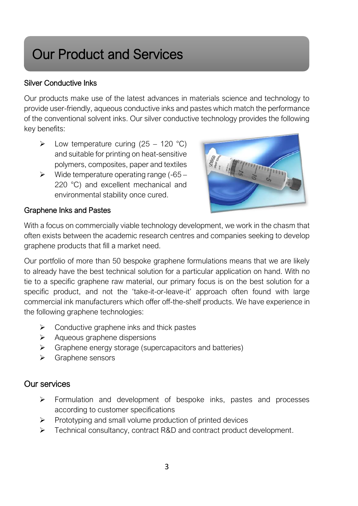# Our Product and Services

#### Silver Conductive Inks

Our products make use of the latest advances in materials science and technology to provide user-friendly, aqueous conductive inks and pastes which match the performance of the conventional solvent inks. Our silver conductive technology provides the following key benefits:

- $\triangleright$  Low temperature curing (25 120 °C) and suitable for printing on heat-sensitive polymers, composites, paper and textiles
- $\triangleright$  Wide temperature operating range (-65 220 °C) and excellent mechanical and environmental stability once cured.



#### Graphene Inks and Pastes

With a focus on commercially viable technology development, we work in the chasm that often exists between the academic research centres and companies seeking to develop graphene products that fill a market need.

Our portfolio of more than 50 bespoke graphene formulations means that we are likely to already have the best technical solution for a particular application on hand. With no tie to a specific graphene raw material, our primary focus is on the best solution for a specific product, and not the 'take-it-or-leave-it' approach often found with large commercial ink manufacturers which offer off-the-shelf products. We have experience in the following graphene technologies:

- $\triangleright$  Conductive graphene inks and thick pastes
- ➢ Aqueous graphene dispersions
- ➢ Graphene energy storage (supercapacitors and batteries)
- ➢ Graphene sensors

### Our services

- ➢ Formulation and development of bespoke inks, pastes and processes according to customer specifications
- ➢ Prototyping and small volume production of printed devices
- ➢ Technical consultancy, contract R&D and contract product development.